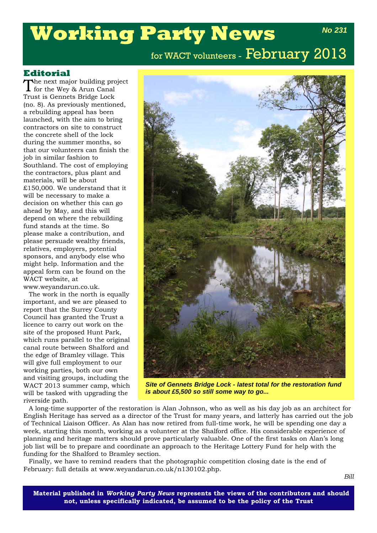# **Working Party News**

for WACT volunteers - February 2013

*No 231*

## **Editorial**

The next major building project for the Wey & Arun Canal Trust is Gennets Bridge Lock (no. 8). As previously mentioned, a rebuilding appeal has been launched, with the aim to bring contractors on site to construct the concrete shell of the lock during the summer months, so that our volunteers can finish the job in similar fashion to Southland. The cost of employing the contractors, plus plant and materials, will be about £150,000. We understand that it will be necessary to make a decision on whether this can go ahead by May, and this will depend on where the rebuilding fund stands at the time. So please make a contribution, and please persuade wealthy friends, relatives, employers, potential sponsors, and anybody else who might help. Information and the appeal form can be found on the WACT website, at www.weyandarun.co.uk.

The work in the north is equally important, and we are pleased to report that the Surrey County Council has granted the Trust a licence to carry out work on the site of the proposed Hunt Park, which runs parallel to the original canal route between Shalford and the edge of Bramley village. This will give full employment to our working parties, both our own and visiting groups, including the WACT 2013 summer camp, which will be tasked with upgrading the riverside path.



*Site of Gennets Bridge Lock - latest total for the restoration fund is about £5,500 so still some way to go...*

A long-time supporter of the restoration is Alan Johnson, who as well as his day job as an architect for English Heritage has served as a director of the Trust for many years, and latterly has carried out the job of Technical Liaison Officer. As Alan has now retired from full-time work, he will be spending one day a week, starting this month, working as a volunteer at the Shalford office. His considerable experience of planning and heritage matters should prove particularly valuable. One of the first tasks on Alan's long job list will be to prepare and coordinate an approach to the Heritage Lottery Fund for help with the funding for the Shalford to Bramley section.

Finally, we have to remind readers that the photographic competition closing date is the end of February: full details at www.weyandarun.co.uk/n130102.php.

**Material published in** *Working Party News* **represents the views of the contributors and should not, unless specifically indicated, be assumed to be the policy of the Trust**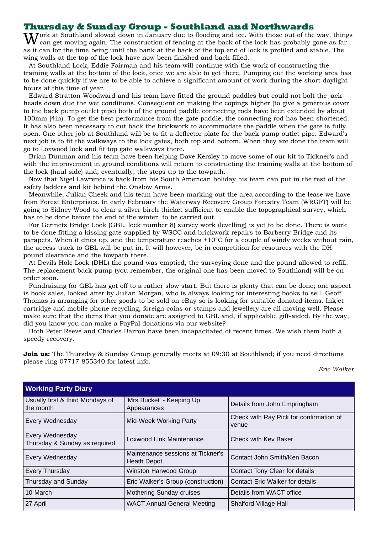#### **Thursday & Sunday Group - Southland and Northwards**

 $\overline{X}$  Jork at Southland slowed down in January due to flooding and ice. With those out of the way, things can get moving again. The construction of fencing at the back of the lock has probably gone as far as it can for the time being until the bank at the back of the top end of lock is profiled and stable. The wing walls at the top of the lock have now been finished and back-filled.

At Southland Lock, Eddie Fairman and his team will continue with the work of constructing the training walls at the bottom of the lock, once we are able to get there. Pumping out the working area has to be done quickly if we are to be able to achieve a significant amount of work during the short daylight hours at this time of year.

Edward Stratton-Woodward and his team have fitted the ground paddles but could not bolt the jackheads down due the wet conditions. Consequent on making the copings higher (to give a generous cover to the back pump outlet pipe) both of the ground paddle connecting rods have been extended by about 100mm (4in). To get the best performance from the gate paddle, the connecting rod has been shortened. It has also been necessary to cut back the brickwork to accommodate the paddle when the gate is fully open. One other job at Southland will be to fit a deflector plate for the back pump outlet pipe. Edward's next job is to fit the walkways to the lock gates, both top and bottom. When they are done the team will go to Loxwood lock and fit top gate walkways there.

Brian Dunman and his team have been helping Dave Kersley to move some of our kit to Tickner's and with the improvement in ground conditions will return to constructing the training walls at the bottom of the lock (haul side) and, eventually, the steps up to the towpath.

Now that Nigel Lawrence is back from his South American holiday his team can put in the rest of the safety ladders and kit behind the Onslow Arms.

Meanwhile, Julian Cheek and his team have been marking out the area according to the lease we have from Forest Enterprises. In early February the Waterway Recovery Group Forestry Team (WRGFT) will be going to Sidney Wood to clear a silver birch thicket sufficient to enable the topographical survey, which has to be done before the end of the winter, to be carried out.

For Gennets Bridge Lock (GBL, lock number 8) survey work (levelling) is yet to be done. There is work to be done fitting a kissing gate supplied by WSCC and brickwork repairs to Barberry Bridge and its parapets. When it dries up, and the temperature reaches +10°C for a couple of windy weeks without rain, the access track to GBL will be put in. It will however, be in competition for resources with the DH pound clearance and the towpath there.

At Devils Hole Lock (DHL) the pound was emptied, the surveying done and the pound allowed to refill. The replacement back pump (you remember, the original one has been moved to Southland) will be on order soon.

Fundraising for GBL has got off to a rather slow start. But there is plenty that can be done; one aspect is book sales, looked after by Julian Morgan, who is always looking for interesting books to sell. Geoff Thomas is arranging for other goods to be sold on eBay so is looking for suitable donated items. Inkjet cartridge and mobile phone recycling, foreign coins or stamps and jewellery are all moving well. Please make sure that the items that you donate are assigned to GBL and, if applicable, gift-aided. By the way, did you know you can make a PayPal donations via our website?

Both Peter Reeve and Charles Barron have been incapacitated of recent times. We wish them both a speedy recovery.

**Join us:** The Thursday & Sunday Group generally meets at 09:30 at Southland; if you need directions please ring 07717 855340 for latest info.

|  | Eric Walker |
|--|-------------|
|--|-------------|

| <b>Working Party Diary</b>                       |                                                         |                                                  |  |  |  |
|--------------------------------------------------|---------------------------------------------------------|--------------------------------------------------|--|--|--|
| Usually first & third Mondays of<br>the month    | 'Mrs Bucket' - Keeping Up<br>Appearances                | Details from John Empringham                     |  |  |  |
| Every Wednesday                                  | Mid-Week Working Party                                  | Check with Ray Pick for confirmation of<br>venue |  |  |  |
| Every Wednesday<br>Thursday & Sunday as required | Loxwood Link Maintenance                                | Check with Key Baker                             |  |  |  |
| Every Wednesday                                  | Maintenance sessions at Tickner's<br><b>Heath Depot</b> | Contact John Smith/Ken Bacon                     |  |  |  |
| Every Thursday                                   | <b>Winston Harwood Group</b>                            | Contact Tony Clear for details                   |  |  |  |
| Thursday and Sunday                              | Eric Walker's Group (construction)                      | <b>Contact Eric Walker for details</b>           |  |  |  |
| 10 March                                         | <b>Mothering Sunday cruises</b>                         | Details from WACT office                         |  |  |  |
| 27 April                                         | <b>WACT Annual General Meeting</b>                      | <b>Shalford Village Hall</b>                     |  |  |  |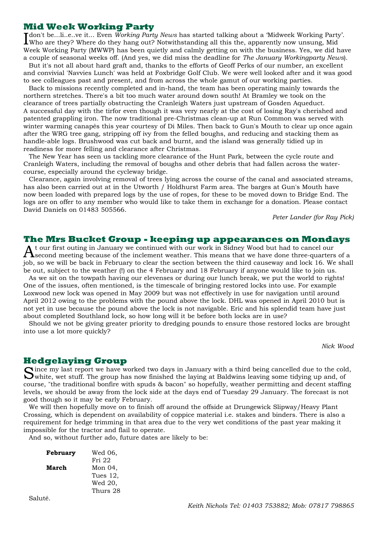#### **Mid Week Working Party**

**I**don't be...li..e..ve it... Even *Working Party News* has started talking about a 'Midweek Working Part When are they? Where do they hang out? Notwithstanding all this the, apparently now unsung, Mid don't be...li..e..ve it... Even *Working Party News* has started talking about a 'Midweek Working Party'. Week Working Party (MWWP) has been quietly and calmly getting on with the business. Yes, we did have a couple of seasonal weeks off. (And yes, we did miss the deadline for *The January Workingparty News*).

But it's not all about hard graft and, thanks to the efforts of Geoff Perks of our number, an excellent and convivial 'Navvies Lunch' was held at Foxbridge Golf Club. We were well looked after and it was good to see colleagues past and present, and from across the whole gamut of our working parties.

Back to missions recently completed and in-hand, the team has been operating mainly towards the northern stretches. There's a bit too much water around down south! At Bramley we took on the clearance of trees partially obstructing the Cranleigh Waters just upstream of Gosden Aqueduct. A successful day with the tirfor even though it was very nearly at the cost of losing Ray's cherished and patented grappling iron. The now traditional pre-Christmas clean-up at Run Common was served with winter warming canapés this year courtesy of Di Miles. Then back to Gun's Mouth to clear up once again after the WRG tree gang, stripping off ivy from the felled boughs, and reducing and stacking them as handle-able logs. Brushwood was cut back and burnt, and the island was generally tidied up in readiness for more felling and clearance after Christmas.

The New Year has seen us tackling more clearance of the Hunt Park, between the cycle route and Cranleigh Waters, including the removal of boughs and other debris that had fallen across the watercourse, especially around the cycleway bridge.

Clearance, again involving removal of trees lying across the course of the canal and associated streams, has also been carried out at in the Utworth / Holdhurst Farm area. The barges at Gun's Mouth have now been loaded with prepared logs by the use of ropes, for these to be moved down to Bridge End. The logs are on offer to any member who would like to take them in exchange for a donation. Please contact David Daniels on 01483 505566.

*Peter Lander (for Ray Pick)*

### **The Mrs Bucket Group - keeping up appearances on Mondays**

 $A$ t our first outing in January we continued with our work in Sidney Wood but had to cancel our  $A$ second meeting because of the inclement weather. This means that we have done three-quarters of a job, so we will be back in February to clear the section between the third causeway and lock 16. We shall be out, subject to the weather (!) on the 4 February and 18 February if anyone would like to join us.

As we sit on the towpath having our elevenses or during our lunch break, we put the world to rights! One of the issues, often mentioned, is the timescale of bringing restored locks into use. For example Loxwood new lock was opened in May 2009 but was not effectively in use for navigation until around April 2012 owing to the problems with the pound above the lock. DHL was opened in April 2010 but is not yet in use because the pound above the lock is not navigable. Eric and his splendid team have just about completed Southland lock, so how long will it be before both locks are in use?

Should we not be giving greater priority to dredging pounds to ensure those restored locks are brought into use a lot more quickly?

*Nick Wood*

#### **Hedgelaying Group**

 $\sum$  ince my last report we have worked two days in January with a third being cancelled due to the cold, white, wet stuff. The group has now finished the laying at Baldwins leaving some tidying up and, of course, "the traditional bonfire with spuds & bacon" so hopefully, weather permitting and decent staffing levels, we should be away from the lock side at the days end of Tuesday 29 January. The forecast is not good though so it may be early February.

We will then hopefully move on to finish off around the offside at Drungewick Slipway/Heavy Plant Crossing, which is dependent on availability of coppice material i.e. stakes and binders. There is also a requirement for hedge trimming in that area due to the very wet conditions of the past year making it impossible for the tractor and flail to operate.

And so, without further ado, future dates are likely to be:

| <b>February</b> | Wed 06,  |
|-----------------|----------|
|                 | Fri 22   |
| March           | Mon 04,  |
|                 | Tues 12, |
|                 | Wed 20,  |
|                 | Thurs 28 |